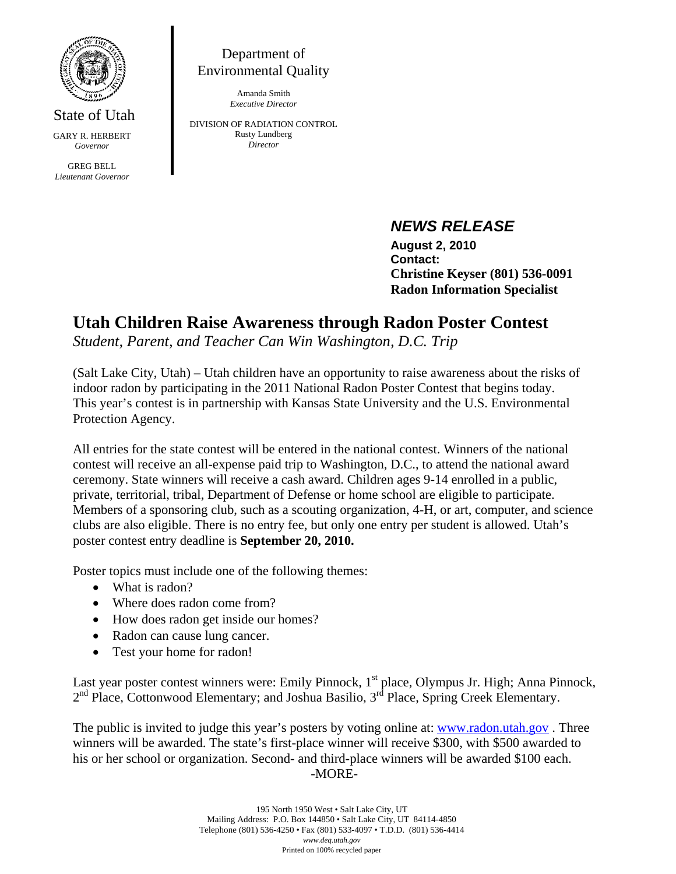

State of Utah GARY R. HERBERT *Governor* 

GREG BELL *Lieutenant Governor* 

Department of Environmental Quality

> Amanda Smith *Executive Director*

DIVISION OF RADIATION CONTROL Rusty Lundberg *Director* 

## *NEWS RELEASE*

 **August 2, 2010 Contact: Christine Keyser (801) 536-0091 Radon Information Specialist** 

## **Utah Children Raise Awareness through Radon Poster Contest**

*Student, Parent, and Teacher Can Win Washington, D.C. Trip* 

(Salt Lake City, Utah) – Utah children have an opportunity to raise awareness about the risks of indoor radon by participating in the 2011 National Radon Poster Contest that begins today. This year's contest is in partnership with Kansas State University and the U.S. Environmental Protection Agency.

All entries for the state contest will be entered in the national contest. Winners of the national contest will receive an all-expense paid trip to Washington, D.C., to attend the national award ceremony. State winners will receive a cash award. Children ages 9-14 enrolled in a public, private, territorial, tribal, Department of Defense or home school are eligible to participate. Members of a sponsoring club, such as a scouting organization, 4-H, or art, computer, and science clubs are also eligible. There is no entry fee, but only one entry per student is allowed. Utah's poster contest entry deadline is **September 20, 2010.** 

Poster topics must include one of the following themes:

- What is radon?
- Where does radon come from?
- How does radon get inside our homes?
- Radon can cause lung cancer.
- Test your home for radon!

Last year poster contest winners were: Emily Pinnock, 1<sup>st</sup> place, Olympus Jr. High; Anna Pinnock,  $2<sup>nd</sup>$  Place, Cottonwood Elementary; and Joshua Basilio,  $3<sup>rd</sup>$  Place, Spring Creek Elementary.

The public is invited to judge this year's posters by voting online at: www.radon.utah.gov. Three winners will be awarded. The state's first-place winner will receive \$300, with \$500 awarded to his or her school or organization. Second- and third-place winners will be awarded \$100 each. -MORE-